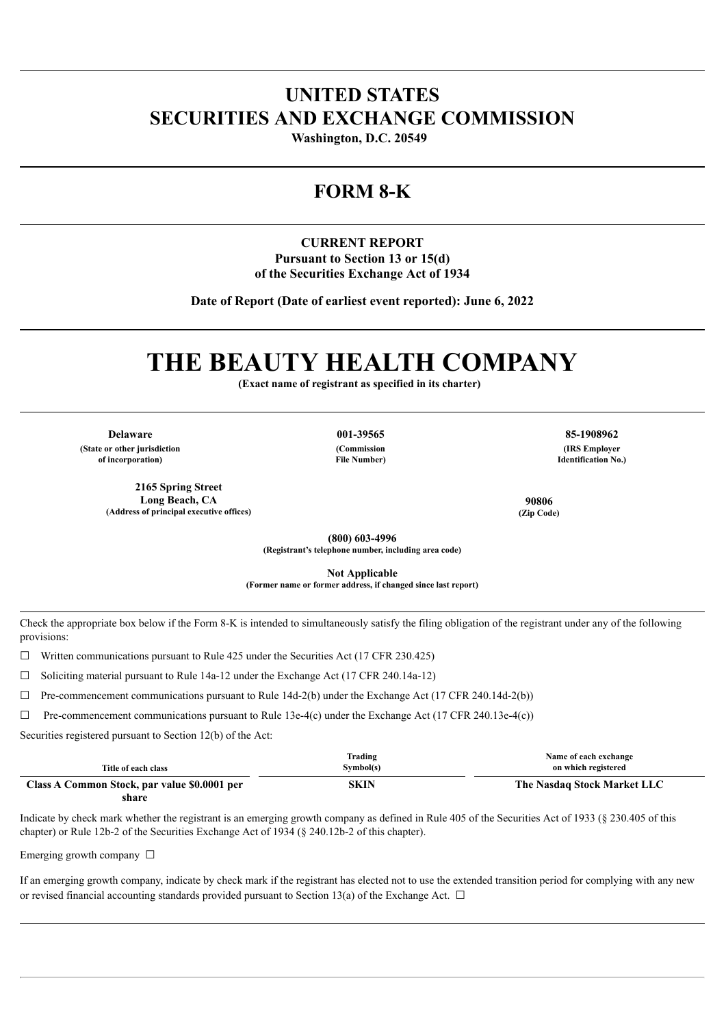# **UNITED STATES SECURITIES AND EXCHANGE COMMISSION**

**Washington, D.C. 20549** 

# **FORM 8-K**

## **CURRENT REPORT Pursuant to Section 13 or 15(d) of the Securities Exchange Act of 1934**

**Date of Report (Date of earliest event reported): June 6, 2022**

# **THE BEAUTY HEALTH COMPANY**

**(Exact name of registrant as specified in its charter)**

**Delaware 001-39565 85-1908962**

**(State or other jurisdiction of incorporation)**

> **2165 Spring Street Long Beach, CA (Address of principal executive offices)**

**(Commission**

**File Number)**

**(IRS Employer Identification No.)**

**90806 (Zip Code)**

**(800) 603-4996 (Registrant's telephone number, including area code)**

**Not Applicable (Former name or former address, if changed since last report)**

Check the appropriate box below if the Form 8-K is intended to simultaneously satisfy the filing obligation of the registrant under any of the following provisions:

 $\Box$  Written communications pursuant to Rule 425 under the Securities Act (17 CFR 230.425)

 $\Box$  Soliciting material pursuant to Rule 14a-12 under the Exchange Act (17 CFR 240.14a-12)

 $\Box$  Pre-commencement communications pursuant to Rule 14d-2(b) under the Exchange Act (17 CFR 240.14d-2(b))

 $\Box$  Pre-commencement communications pursuant to Rule 13e-4(c) under the Exchange Act (17 CFR 240.13e-4(c))

Securities registered pursuant to Section 12(b) of the Act:

| Title of each class                          | Trading<br>Symbol(s) | Name of each exchange<br>on which registered |
|----------------------------------------------|----------------------|----------------------------------------------|
| Class A Common Stock, par value \$0.0001 per | SKIN                 | The Nasdaq Stock Market LLC                  |
| share                                        |                      |                                              |

Indicate by check mark whether the registrant is an emerging growth company as defined in Rule 405 of the Securities Act of 1933 (§ 230.405 of this chapter) or Rule 12b-2 of the Securities Exchange Act of 1934 (§ 240.12b-2 of this chapter).

Emerging growth company  $\Box$ 

If an emerging growth company, indicate by check mark if the registrant has elected not to use the extended transition period for complying with any new or revised financial accounting standards provided pursuant to Section 13(a) of the Exchange Act.  $\Box$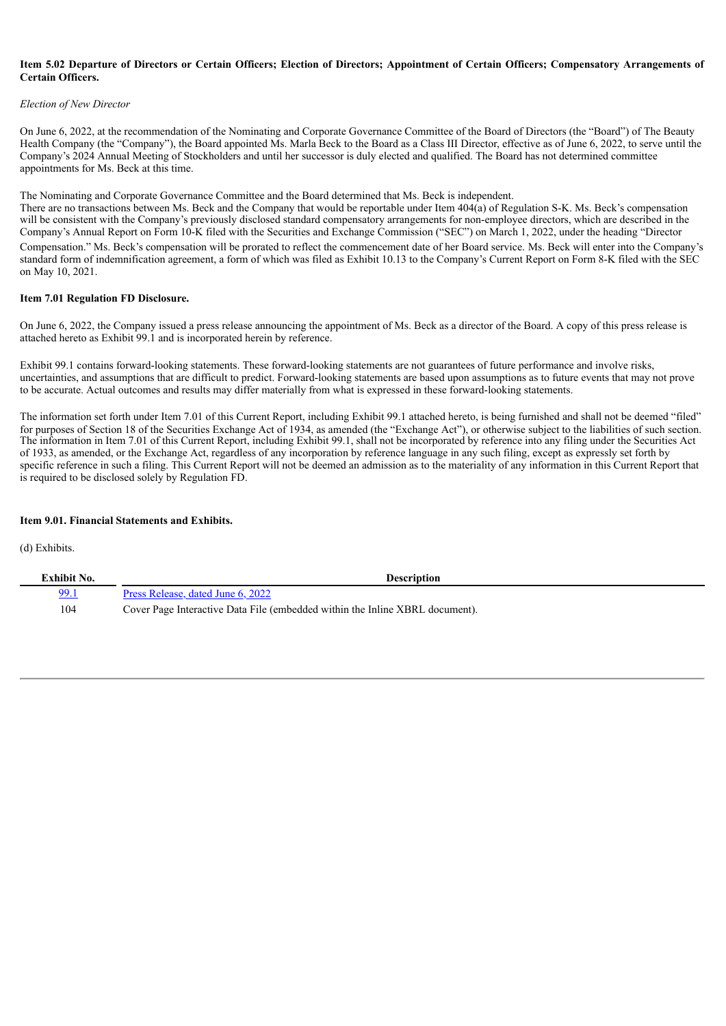#### Item 5.02 Departure of Directors or Certain Officers; Election of Directors; Appointment of Certain Officers; Compensatory Arrangements of **Certain Officers.**

#### *Election of New Director*

On June 6, 2022, at the recommendation of the Nominating and Corporate Governance Committee of the Board of Directors (the "Board") of The Beauty Health Company (the "Company"), the Board appointed Ms. Marla Beck to the Board as a Class III Director, effective as of June 6, 2022, to serve until the Company's 2024 Annual Meeting of Stockholders and until her successor is duly elected and qualified. The Board has not determined committee appointments for Ms. Beck at this time.

The Nominating and Corporate Governance Committee and the Board determined that Ms. Beck is independent.

There are no transactions between Ms. Beck and the Company that would be reportable under Item 404(a) of Regulation S-K. Ms. Beck's compensation will be consistent with the Company's previously disclosed standard compensatory arrangements for non-employee directors, which are described in the Company's Annual Report on Form 10-K filed with the Securities and Exchange Commission ("SEC") on March 1, 2022, under the heading "Director Compensation." Ms. Beck's compensation will be prorated to reflect the commencement date of her Board service. Ms. Beck will enter into the Company's standard form of indemnification agreement, a form of which was filed as Exhibit 10.13 to the Company's Current Report on Form 8-K filed with the SEC on May 10, 2021.

#### **Item 7.01 Regulation FD Disclosure.**

On June 6, 2022, the Company issued a press release announcing the appointment of Ms. Beck as a director of the Board. A copy of this press release is attached hereto as Exhibit 99.1 and is incorporated herein by reference.

Exhibit 99.1 contains forward-looking statements. These forward-looking statements are not guarantees of future performance and involve risks, uncertainties, and assumptions that are difficult to predict. Forward-looking statements are based upon assumptions as to future events that may not prove to be accurate. Actual outcomes and results may differ materially from what is expressed in these forward-looking statements.

The information set forth under Item 7.01 of this Current Report, including Exhibit 99.1 attached hereto, is being furnished and shall not be deemed "filed" for purposes of Section 18 of the Securities Exchange Act of 1934, as amended (the "Exchange Act"), or otherwise subject to the liabilities of such section. The information in Item 7.01 of this Current Report, including Exhibit 99.1, shall not be incorporated by reference into any filing under the Securities Act of 1933, as amended, or the Exchange Act, regardless of any incorporation by reference language in any such filing, except as expressly set forth by specific reference in such a filing. This Current Report will not be deemed an admission as to the materiality of any information in this Current Report that is required to be disclosed solely by Regulation FD.

#### **Item 9.01. Financial Statements and Exhibits.**

(d) Exhibits.

| Exhibit No. | Description                                                                  |
|-------------|------------------------------------------------------------------------------|
| <u>99.1</u> | Press Release, dated June 6, 2022                                            |
| 104         | Cover Page Interactive Data File (embedded within the Inline XBRL document). |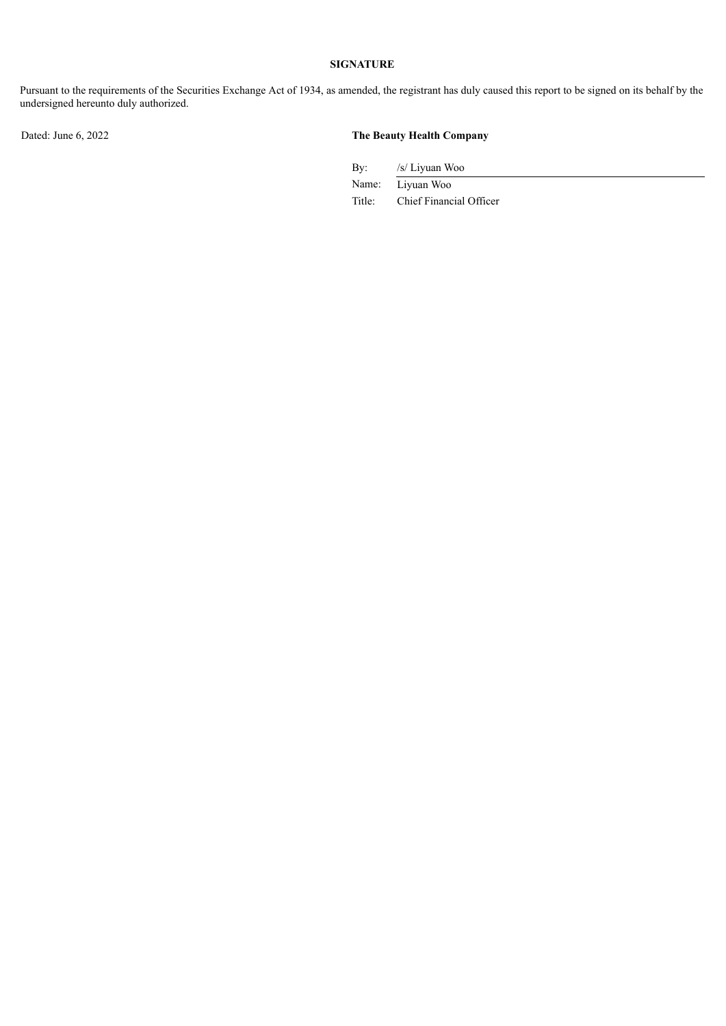## **SIGNATURE**

Pursuant to the requirements of the Securities Exchange Act of 1934, as amended, the registrant has duly caused this report to be signed on its behalf by the undersigned hereunto duly authorized.

### Dated: June 6, 2022 **The Beauty Health Company**

By: /s/ Liyuan Woo

Name: Liyuan Woo Title: Chief Financial Officer